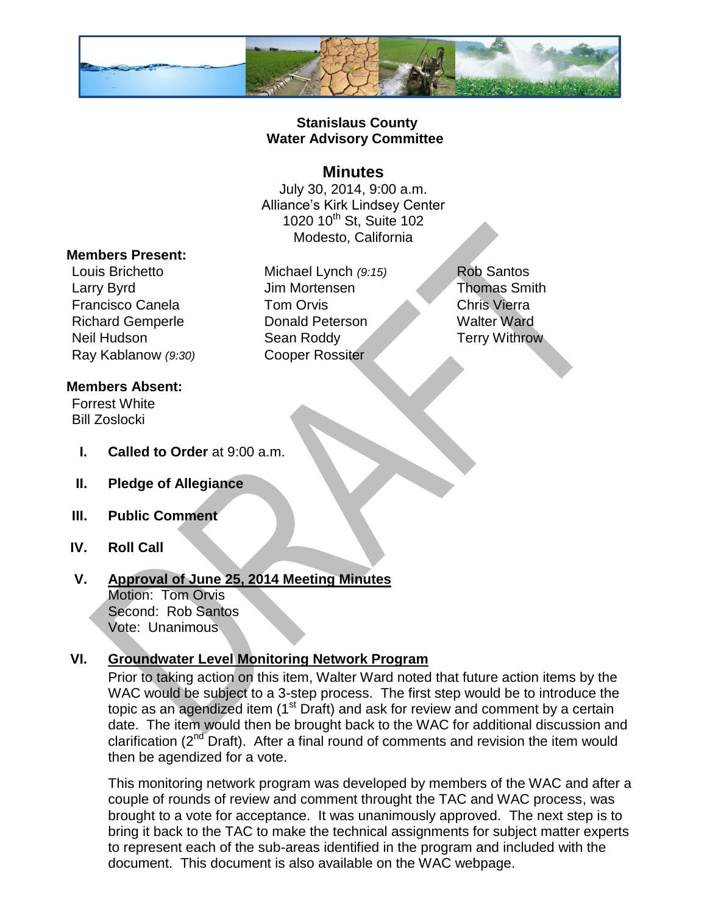

#### **Stanislaus County Water Advisory Committee**

### **Minutes**

July 30, 2014, 9:00 a.m. Alliance's Kirk Lindsey Center 1020 10<sup>th</sup> St, Suite 102 Modesto, California

#### **Members Present:**

Louis Brichetto Michael Lynch *(9:15)* Rob Santos Larry Byrd **Im Mortensen** Jim Mortensen Thomas Smith Francisco Canela **Tom Orvis** Chris Vierra Richard Gemperle Donald Peterson Walter Ward Neil Hudson Sean Roddy Terry Withrow Ray Kablanow *(9:30)* Cooper Rossiter

#### **Members Absent:**

Forrest White Bill Zoslocki

- **I. Called to Order** at 9:00 a.m.
- **II. Pledge of Allegiance**
- **III. Public Comment**
- **IV. Roll Call**

### **V. Approval of June 25, 2014 Meeting Minutes**

Motion: Tom Orvis Second: Rob Santos Vote: Unanimous

### **VI. Groundwater Level Monitoring Network Program**

Prior to taking action on this item, Walter Ward noted that future action items by the WAC would be subject to a 3-step process. The first step would be to introduce the topic as an agendized item (1<sup>st</sup> Draft) and ask for review and comment by a certain date. The item would then be brought back to the WAC for additional discussion and clarification ( $2<sup>nd</sup>$  Draft). After a final round of comments and revision the item would then be agendized for a vote.

This monitoring network program was developed by members of the WAC and after a couple of rounds of review and comment throught the TAC and WAC process, was brought to a vote for acceptance. It was unanimously approved. The next step is to bring it back to the TAC to make the technical assignments for subject matter experts to represent each of the sub-areas identified in the program and included with the document. This document is also available on the WAC webpage.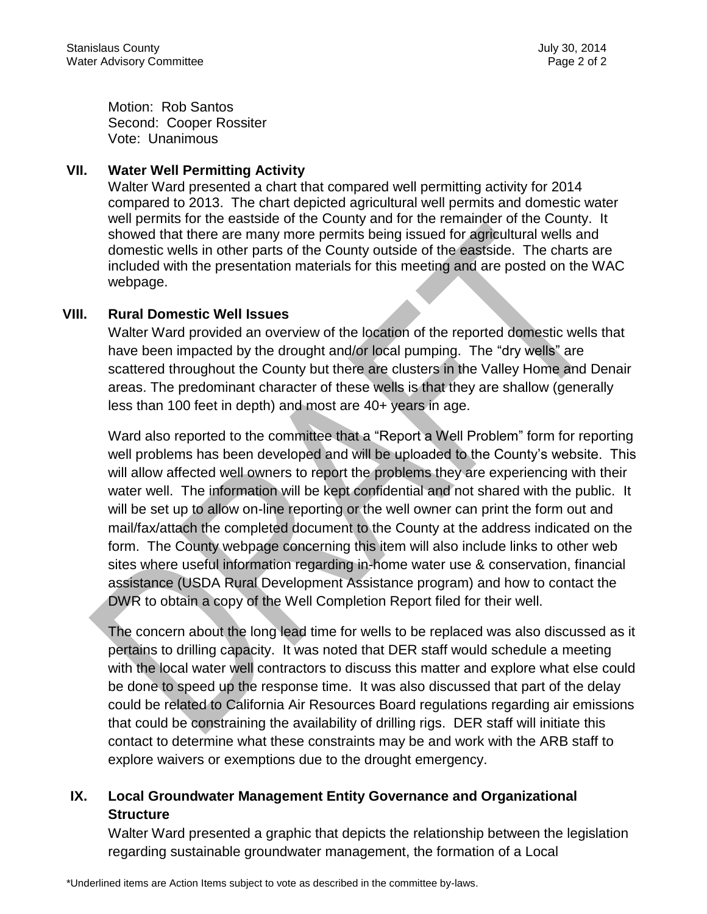Motion: Rob Santos Second: Cooper Rossiter Vote: Unanimous

#### **VII. Water Well Permitting Activity**

Walter Ward presented a chart that compared well permitting activity for 2014 compared to 2013. The chart depicted agricultural well permits and domestic water well permits for the eastside of the County and for the remainder of the County. It showed that there are many more permits being issued for agricultural wells and domestic wells in other parts of the County outside of the eastside. The charts are included with the presentation materials for this meeting and are posted on the WAC webpage.

#### **VIII. Rural Domestic Well Issues**

Walter Ward provided an overview of the location of the reported domestic wells that have been impacted by the drought and/or local pumping. The "dry wells" are scattered throughout the County but there are clusters in the Valley Home and Denair areas. The predominant character of these wells is that they are shallow (generally less than 100 feet in depth) and most are 40+ years in age.

Ward also reported to the committee that a "Report a Well Problem" form for reporting well problems has been developed and will be uploaded to the County's website. This will allow affected well owners to report the problems they are experiencing with their water well. The information will be kept confidential and not shared with the public. It will be set up to allow on-line reporting or the well owner can print the form out and mail/fax/attach the completed document to the County at the address indicated on the form. The County webpage concerning this item will also include links to other web sites where useful information regarding in-home water use & conservation, financial assistance (USDA Rural Development Assistance program) and how to contact the DWR to obtain a copy of the Well Completion Report filed for their well.

The concern about the long lead time for wells to be replaced was also discussed as it pertains to drilling capacity. It was noted that DER staff would schedule a meeting with the local water well contractors to discuss this matter and explore what else could be done to speed up the response time. It was also discussed that part of the delay could be related to California Air Resources Board regulations regarding air emissions that could be constraining the availability of drilling rigs. DER staff will initiate this contact to determine what these constraints may be and work with the ARB staff to explore waivers or exemptions due to the drought emergency.

## **IX. Local Groundwater Management Entity Governance and Organizational Structure**

Walter Ward presented a graphic that depicts the relationship between the legislation regarding sustainable groundwater management, the formation of a Local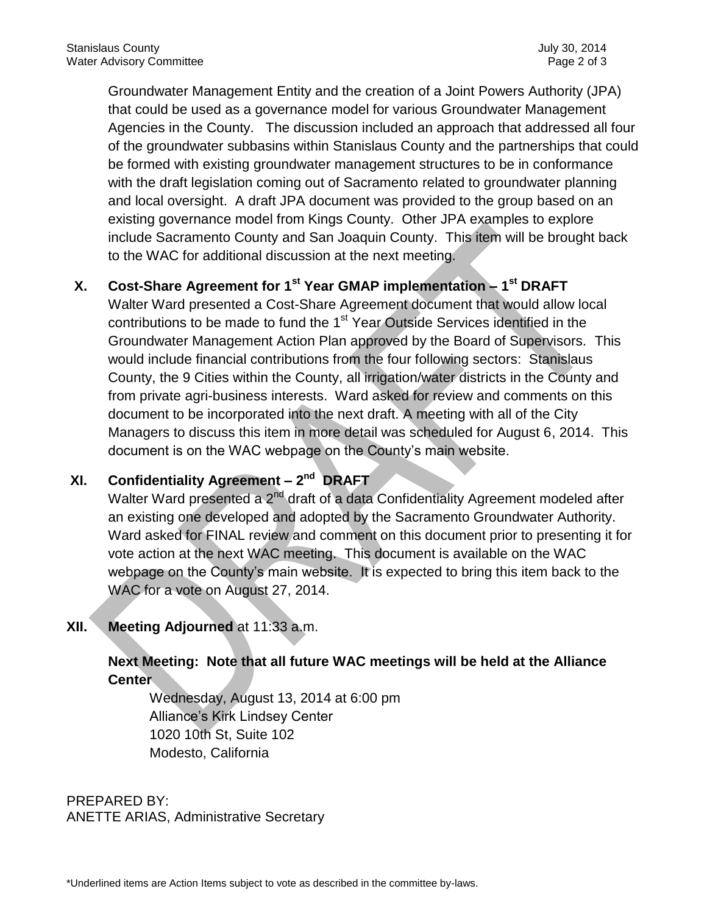Groundwater Management Entity and the creation of a Joint Powers Authority (JPA) that could be used as a governance model for various Groundwater Management Agencies in the County. The discussion included an approach that addressed all four of the groundwater subbasins within Stanislaus County and the partnerships that could be formed with existing groundwater management structures to be in conformance with the draft legislation coming out of Sacramento related to groundwater planning and local oversight. A draft JPA document was provided to the group based on an existing governance model from Kings County. Other JPA examples to explore include Sacramento County and San Joaquin County. This item will be brought back to the WAC for additional discussion at the next meeting.

## **X. Cost-Share Agreement for 1st Year GMAP implementation – 1 st DRAFT**

Walter Ward presented a Cost-Share Agreement document that would allow local contributions to be made to fund the 1<sup>st</sup> Year Outside Services identified in the Groundwater Management Action Plan approved by the Board of Supervisors. This would include financial contributions from the four following sectors: Stanislaus County, the 9 Cities within the County, all irrigation/water districts in the County and from private agri-business interests. Ward asked for review and comments on this document to be incorporated into the next draft. A meeting with all of the City Managers to discuss this item in more detail was scheduled for August 6, 2014. This document is on the WAC webpage on the County's main website.

## **XI. Confidentiality Agreement – 2 nd DRAFT**

Walter Ward presented a 2<sup>nd</sup> draft of a data Confidentiality Agreement modeled after an existing one developed and adopted by the Sacramento Groundwater Authority. Ward asked for FINAL review and comment on this document prior to presenting it for vote action at the next WAC meeting. This document is available on the WAC webpage on the County's main website. It is expected to bring this item back to the WAC for a vote on August 27, 2014.

## **XII. Meeting Adjourned** at 11:33 a.m.

## **Next Meeting: Note that all future WAC meetings will be held at the Alliance Center**

Wednesday, August 13, 2014 at 6:00 pm Alliance's Kirk Lindsey Center 1020 10th St, Suite 102 Modesto, California

PREPARED BY: ANETTE ARIAS, Administrative Secretary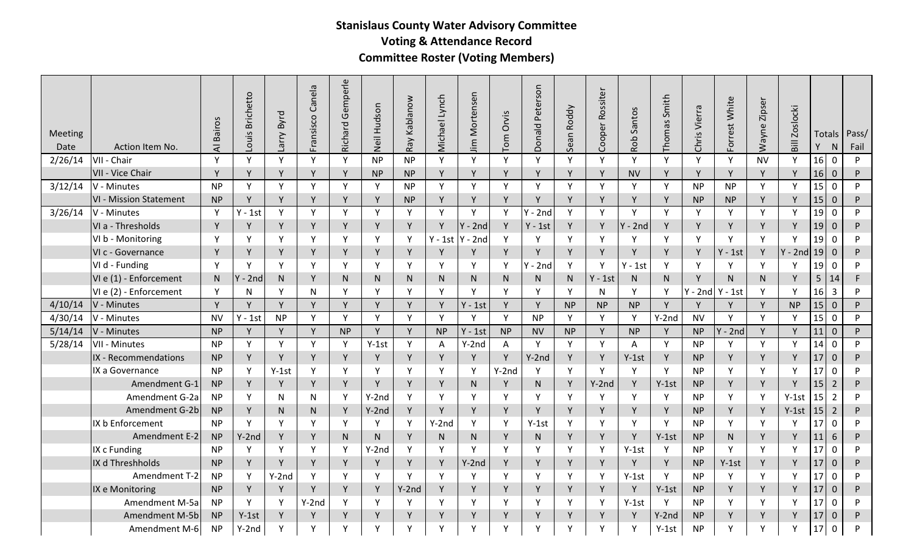# **Stanislaus County Water Advisory Committee Voting & Attendance Record**

**Committee Roster (Voting Members)**

| Meeting<br>Date | Action Item No.               | <b>Bairos</b><br>₹ | <b>Brichetto</b><br>Louis | Byrd<br>Larry | Fransisco Canela | Gemperle<br>Richard | Neil Hudson | Kablanow<br>Ray | Michael Lynch | Mortensen<br>$\overline{\mathbf{m}}$ | Orvis<br>Tom | Peterson<br>Donald | Roddy<br>Sean | Cooper Rossiter | Santos<br>Rob | Smith<br>Thomas | Vierra<br>Chris <sup>'</sup> | Forrest White | Zipser<br>Wayne | <b>Zoslocki</b><br>$\overline{\mathsf{B}}$ | Totals<br>Y | N                | Pass/<br>Fail |
|-----------------|-------------------------------|--------------------|---------------------------|---------------|------------------|---------------------|-------------|-----------------|---------------|--------------------------------------|--------------|--------------------|---------------|-----------------|---------------|-----------------|------------------------------|---------------|-----------------|--------------------------------------------|-------------|------------------|---------------|
| 2/26/14         | VII - Chair                   | Y                  | Y                         | Y             | Y                | Y                   | <b>NP</b>   | <b>NP</b>       | Y             | Y                                    | Y            | Y                  | Y             | Y               | Y             | Y               | Y                            | Y             | <b>NV</b>       | Y                                          | 16          | $\mathbf 0$      | P             |
|                 | VII - Vice Chair              | Y                  | Y                         | Y             | Y                | Y                   | <b>NP</b>   | <b>NP</b>       | Y             | Y                                    | $\mathsf{v}$ | Y                  | <b>V</b>      | Y               | <b>NV</b>     | Y               | Y                            | Y             | Y               | Y                                          | 16          | $\mathbf 0$      | P             |
| 3/12/14         | V - Minutes                   | <b>NP</b>          | Y                         | Y             | Y                | Y                   | Y           | <b>NP</b>       | Y             | Y                                    | Y            | Y                  | Y             | Y               | Y             | Y               | <b>NP</b>                    | <b>NP</b>     | Y               | Y                                          | 15          | $\mathbf 0$      | P             |
|                 | <b>VI - Mission Statement</b> | <b>NP</b>          | Y                         | Y             | Y                | Y                   | Y           | <b>NP</b>       | Y             | Y                                    | Y            | Y                  | $\mathsf{v}$  | Y               | Y             | Y               | <b>NP</b>                    | <b>NP</b>     | Y               |                                            | 15          | $\mathbf 0$      | P             |
| 3/26/14         | V - Minutes                   | Y                  | $Y - 1st$                 | Y             | Y                | Y                   | Y           | Y               | Y             | Y                                    | Y            | $Y - 2nd$          | Y             | Y               | Y             | Y               | Y                            | Y             | Y               | Y                                          | 19          | 0                | P             |
|                 | VI a - Thresholds             | Y                  | Y                         | Y             | Y                | Y                   | Y           | Y               | Y             | $Y - 2nd$                            | Y            | $Y - 1st$          | Y             | Y               | $Y - 2nd$     | Y               | Y                            | Y             | Y               | Y                                          | 19          | $\mathbf 0$      | P             |
|                 | VI b - Monitoring             | Y                  | Υ                         | Y             | Y                | Y                   | Y           | Y               | $Y - 1st$     | $Y - 2nd$                            | Υ            | Y                  | Y             | Y               | Y             | Υ               | Y                            | Y             | Y               | Y                                          | 19          | $\Omega$         | P             |
|                 | VI c - Governance             | Y                  | Y                         | Y             | Y                | Y                   | Y           | Y               | Y             | Y                                    | Y            | Y                  | Y             | Y               | Y             | Y               | Y                            | $Y - 1st$     | Y               | $Y - 2nc$                                  | 19          | $\mathbf 0$      | P             |
|                 | VI d - Funding                | Y                  | Y                         | Y             | Y                | Y                   | Y           | Y               | Y             | Y                                    | Υ            | $Y - 2nd$          | Y             | Y               | Y - 1st       | Y               | Y                            | Y             | Y               | Y                                          | 19          | 0                | P             |
|                 | VI e (1) - Enforcement        | N.                 | $Y - 2nd$                 | N             | Y                | N.                  | N.          | N.              | N.            | N.                                   | N.           | N.                 | N             | $Y - 1st$       | N.            | N               | Y                            | N             | N.              | Y                                          | 5           | 14               | F             |
|                 | VI e (2) - Enforcement        | Y                  | N                         | Y             | N                | Y                   | Y           | Y               | Y             | Y                                    | Y            | Y                  | Y             | N               | Y             | Y               | $Y - 2nd$                    | $Y - 1st$     | Y               | Y                                          | 16          | $\overline{3}$   | P             |
| 4/10/14         | V - Minutes                   | Y                  | Y                         | Y             | Y                | Y                   | Y           | Y               | Y             | $Y - 1st$                            | Y            | Y                  | <b>NP</b>     | <b>NP</b>       | <b>NP</b>     | Y               | Y                            | Y             | Y               | <b>NP</b>                                  | 15          | $\mathbf 0$      | ${\sf P}$     |
| 4/30/14         | V - Minutes                   | <b>NV</b>          | $Y - 1st$                 | <b>NP</b>     | $\mathsf{Y}$     | Y                   | Y           | Y               | Y             | Y                                    | Y            | <b>NP</b>          | Y             | Y               | $\mathsf{Y}$  | $Y-2nd$         | <b>NV</b>                    | Y             | Y               | Y                                          | 15          | $\mathbf 0$      | P             |
| 5/14/14         | V - Minutes                   | <b>NP</b>          | Y                         | Y             | Y                | <b>NP</b>           | Y           | Y               | <b>NP</b>     | $Y - 1st$                            | <b>NP</b>    | <b>NV</b>          | <b>NP</b>     | Y               | <b>NP</b>     | Y               | <b>NP</b>                    | $Y - 2nd$     | Y               | Y                                          | 11          | $\mathbf{0}$     | P             |
| 5/28/14         | VII - Minutes                 | <b>NP</b>          | Y                         | Y             | Y                | Y                   | $Y-1st$     | Y               | A             | $Y-2nd$                              | A            | Y                  | Y             | Y               | A             | Y               | <b>NP</b>                    | Y             | Y               | Y                                          | 14          | $\mathbf 0$      | P             |
|                 | IX - Recommendations          | <b>NP</b>          | Y                         | Y             | Y                | Y                   | Y           | Y               | Y             | Y                                    | Y            | $Y-2nd$            | Y             | Y               | $Y-1st$       | Y               | <b>NP</b>                    | Y             | Y               | Y                                          | 17          | $\theta$         | P             |
|                 | IX a Governance               | <b>NP</b>          | Y                         | $Y-1st$       | Y                | Y                   | Y           | Y               | Y             | Y                                    | $Y-2nd$      | Y                  | Y             | Y               | Y             | Y               | <b>NP</b>                    | Y             | Y               | Y                                          | 17          | 0                | P             |
|                 | Amendment G-1                 | <b>NP</b>          | Y                         | Y             | Y                | Y                   | Y           | Y               | Y             | N                                    | Y            | N                  | Y             | $Y-2nd$         | Y             | $Y-1st$         | <b>NP</b>                    | Y             | Y               | Y                                          | 15          | $\overline{2}$   | P             |
|                 | Amendment G-2a                | <b>NP</b>          | Y                         | N             | N                | Y                   | $Y-2nd$     | Y               | Y             | Y                                    | Y            | Y                  | Y             | Y               | Y             | Y               | <b>NP</b>                    | Y             | Y               | $Y-1st$                                    | 15          | $\overline{2}$   | P             |
|                 | Amendment G-2b                | <b>NP</b>          | Y                         | N             | N                | Y                   | $Y-2nd$     | Y               | Y             | Y                                    | Y            | Y                  | Y             | Y               | Y             | Y               | <b>NP</b>                    | Υ             | Y               | $Y-1st$                                    | 15          | $\overline{2}$   | P             |
|                 | IX b Enforcement              | <b>NP</b>          | Y                         | $\mathsf{v}$  | Y                | Y                   | Υ           | Y               | $Y-2nd$       | Y                                    | v            | $Y-1st$            | Y             | Y               | Y             | Y               | <b>NP</b>                    | Y             | Y               | Υ                                          | 17          | $\Omega$         | P             |
|                 | Amendment E-2                 | <b>NP</b>          | $Y-2nd$                   | Y             | Y                | N.                  | N.          | Y               | N             | N                                    | Y            | N.                 | Y             | Y               | Y             | $Y-1st$         | <b>NP</b>                    | N             | Y               | Y                                          | 11          | 6                | P             |
|                 | IX c Funding                  | <b>NP</b>          | Y                         | Y             | Y                | Y                   | $Y-2nd$     | Y               | Y             | Y                                    | Y            | Y                  | Y             | Y               | $Y-1st$       | Y               | <b>NP</b>                    | Y             | Y               | Y                                          | 17          | $\mathbf 0$      | P             |
|                 | IX d Threshholds              | <b>NP</b>          | Y                         | Y             | Y                | Y                   | Y           | Y               | Y             | $Y-2nd$                              | Y            | Y                  | Y             | Y               | Y             | Y               | <b>NP</b>                    | $Y-1st$       | Y               | Y                                          | 17          | $\boldsymbol{0}$ | P             |
|                 | Amendment T-2                 | <b>NP</b>          | Y                         | $Y-2nd$       | Y                | Y                   | Y           | Y               | Y             | Y                                    | Υ            | Y                  | Y             | Y               | $Y-1st$       | Y               | <b>NP</b>                    | Y             | Y               | Y                                          | 17          | $\mathbf 0$      | P             |
|                 | IX e Monitoring               | <b>NP</b>          | Y                         | Y             | Y                | Y                   | Y           | $Y-2nd$         | Y             | Y                                    | Y            | Y                  | Y             | Y               | Y             | $Y-1st$         | <b>NP</b>                    | Y             | Y               | Y                                          | 17          | $\boldsymbol{0}$ | P             |
|                 | Amendment M-5a                | <b>NP</b>          | Y                         | Y             | $Y-2nd$          | Y                   | Y           | Y               | Y             | Y                                    | Υ            | Y                  | Y             | Y               | $Y-1st$       | Y               | <b>NP</b>                    | Y             | Y               | Y                                          | 17          | $\Omega$         | P             |
|                 | Amendment M-5b                | <b>NP</b>          | $Y-1st$                   | Y             | Y                | Y                   | Υ           | Y               | Y             | Υ                                    | Y            | Y                  | $\mathsf{v}$  | Y               | Y             | $Y-2nd$         | <b>NP</b>                    | Υ             | Y               | Y                                          | 17          | $\mathbf 0$      | ${\sf P}$     |
|                 | Amendment M-6                 | <b>NP</b>          | $Y-2nd$                   | Y             | Υ                | Y                   | Y           | Y               | Y             | Υ                                    | $\checkmark$ | Y                  | v             | Y               | Y             | $Y-1st$         | <b>NP</b>                    | γ             | Y               |                                            | 17          | 0                | P             |